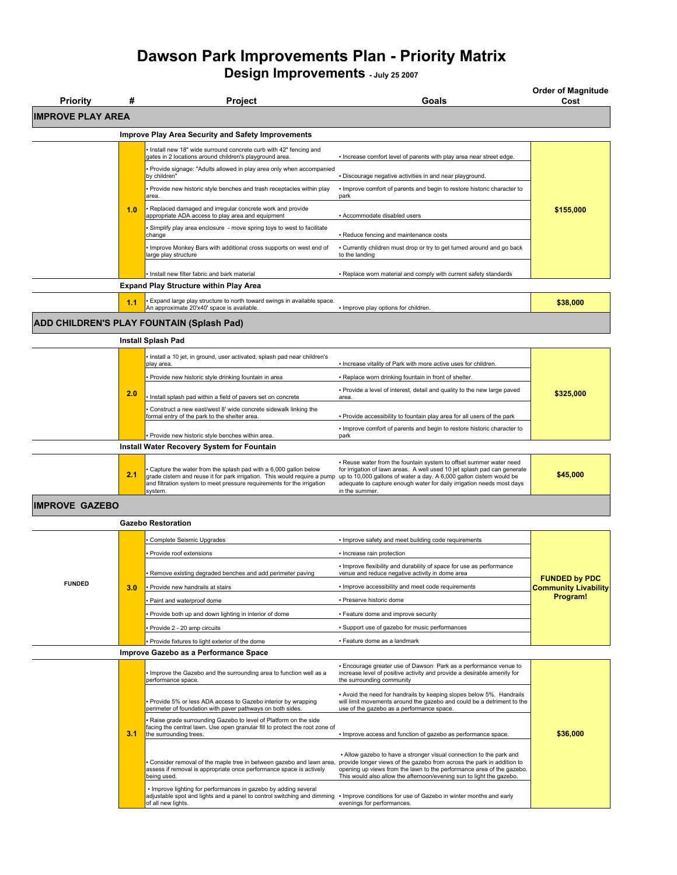## **Dawson Park Improvements Plan - Priority Matrix Design Improvements - July 25 2007**

**Priority # Project Goals Order of Magnitude Cost IMPROVE PLAY AREA Improve Play Area Security and Safety Improvements** ▪ Install new 18" wide surround concrete curb with 42" fencing and . Increase comfort level of parents with play area near street edge. • Provide signage: "Adults allowed in play area only when accompanied<br>by children" · Discourage negative activities in and near playground. ▪ Provide new historic style benches and trash receptacles within play area. ▪ Improve comfort of parents and begin to restore historic character to park **1.0 Replaced damaged and irregular concrete work and provide <b>1.0 1.0** *i* **i i i i i \$155,000** appropriate ADA access to play area and equipment • Accommodate disabled users • Simplify play area enclosure - move spring toys to west to facilitate change • Reduce fencing and maintenance costs Improve Monkey Bars with additional cross supports on west end of large play structure ▪ Currently children must drop or try to get turned around and go back to the landing Install new filter fabric and bark material **Exercise 1998 Replace worn material and comply with current safety standards Expand Play Structure within Play Area 1.1** Expand large play structure to north toward swings in available space. Expand large play structure to north toward swings in available space.<br>An approximate 20'x40' space is available. **\$38,000 And the set of the set of the set of subset of the set of s** 

**ADD CHILDREN'S PLAY FOUNTAIN (Splash Pad)**

**Install Splash Pad**

|                                                   | 2.0 | Install a 10 jet, in ground, user activated, splash pad near children's<br>play area.<br>· Provide new historic style drinking fountain in area<br>Install splash pad within a field of pavers set on concrete<br>Construct a new east/west 8' wide concrete sidewalk linking the<br>formal entry of the park to the shelter area.<br>- Provide new historic style benches within area. | - Increase vitality of Park with more active uses for children.<br>- Replace worn drinking fountain in front of shelter.<br>. Provide a level of interest, detail and quality to the new large paved<br>area.<br>. Provide accessibility to fountain play area for all users of the park<br>Improve comfort of parents and begin to restore historic character to<br>park | \$325,000 |
|---------------------------------------------------|-----|-----------------------------------------------------------------------------------------------------------------------------------------------------------------------------------------------------------------------------------------------------------------------------------------------------------------------------------------------------------------------------------------|---------------------------------------------------------------------------------------------------------------------------------------------------------------------------------------------------------------------------------------------------------------------------------------------------------------------------------------------------------------------------|-----------|
| <b>Install Water Recovery System for Fountain</b> |     |                                                                                                                                                                                                                                                                                                                                                                                         |                                                                                                                                                                                                                                                                                                                                                                           |           |
|                                                   | 2.1 | . Capture the water from the splash pad with a 6,000 gallon below<br>grade cistern and reuse it for park irrigation. This would require a pump<br>and filtration system to meet pressure requirements for the irrigation<br>system.                                                                                                                                                     | - Reuse water from the fountain system to offset summer water need<br>for irrigation of lawn areas. A well used 10 jet splash pad can generate<br>up to 10,000 gallons of water a day. A 6,000 gallon cistern would be<br>adequate to capture enough water for daily irrigation needs most days<br>in the summer.                                                         | \$45,000  |

## **IMPROVE GAZEBO**

|                                       |     | <b>Gazebo Restoration</b>                                                                                                                                                |                                                                                                                                                                                                                                                                                                |                                         |
|---------------------------------------|-----|--------------------------------------------------------------------------------------------------------------------------------------------------------------------------|------------------------------------------------------------------------------------------------------------------------------------------------------------------------------------------------------------------------------------------------------------------------------------------------|-----------------------------------------|
|                                       |     | Complete Seismic Upgrades                                                                                                                                                | . Improve safety and meet building code requirements                                                                                                                                                                                                                                           |                                         |
|                                       |     | Provide roof extensions                                                                                                                                                  | · Increase rain protection                                                                                                                                                                                                                                                                     |                                         |
|                                       |     | Remove existing degraded benches and add perimeter paving                                                                                                                | . Improve flexibility and durability of space for use as performance<br>venue and reduce negative activity in dome area                                                                                                                                                                        | <b>FUNDED by PDC</b>                    |
| <b>FUNDED</b>                         | 3.0 | Provide new handrails at stairs                                                                                                                                          | · Improve accessibility and meet code requirements                                                                                                                                                                                                                                             | <b>Community Livability</b><br>Program! |
|                                       |     | Paint and waterproof dome                                                                                                                                                | · Preserve historic dome                                                                                                                                                                                                                                                                       |                                         |
|                                       |     | Provide both up and down lighting in interior of dome                                                                                                                    | • Feature dome and improve security                                                                                                                                                                                                                                                            |                                         |
|                                       |     | Provide 2 - 20 amp circuits                                                                                                                                              | - Support use of gazebo for music performances                                                                                                                                                                                                                                                 |                                         |
|                                       |     | Provide fixtures to light exterior of the dome                                                                                                                           | · Feature dome as a landmark                                                                                                                                                                                                                                                                   |                                         |
| Improve Gazebo as a Performance Space |     |                                                                                                                                                                          |                                                                                                                                                                                                                                                                                                |                                         |
|                                       |     | Improve the Gazebo and the surrounding area to function well as a<br>performance space.                                                                                  | . Encourage greater use of Dawson Park as a performance venue to<br>increase level of positive activity and provide a desirable amenity for<br>the surrounding community                                                                                                                       |                                         |
|                                       |     | Provide 5% or less ADA access to Gazebo interior by wrapping<br>perimeter of foundation with paver pathways on both sides.                                               | - Avoid the need for handrails by keeping slopes below 5%. Handrails<br>will limit movements around the gazebo and could be a detriment to the<br>use of the gazebo as a performance space.                                                                                                    |                                         |
|                                       | 3.1 | Raise grade surrounding Gazebo to level of Platform on the side<br>facing the central lawn. Use open granular fill to protect the root zone of<br>the surrounding trees. | · Improve access and function of gazebo as performance space.                                                                                                                                                                                                                                  | \$36,000                                |
|                                       |     | Consider removal of the maple tree in between gazebo and lawn area,<br>assess if removal is appropriate once performance space is actively<br>being used.                | . Allow gazebo to have a stronger visual connection to the park and<br>provide longer views of the gazebo from across the park in addition to<br>opening up views from the lawn to the performance area of the gazebo.<br>This would also allow the afternoon/evening sun to light the gazebo. |                                         |
|                                       |     | . Improve lighting for performances in gazebo by adding several<br>adjustable spot and lights and a panel to control switching and dimming<br>of all new lights.         | . Improve conditions for use of Gazebo in winter months and early<br>evenings for performances.                                                                                                                                                                                                |                                         |